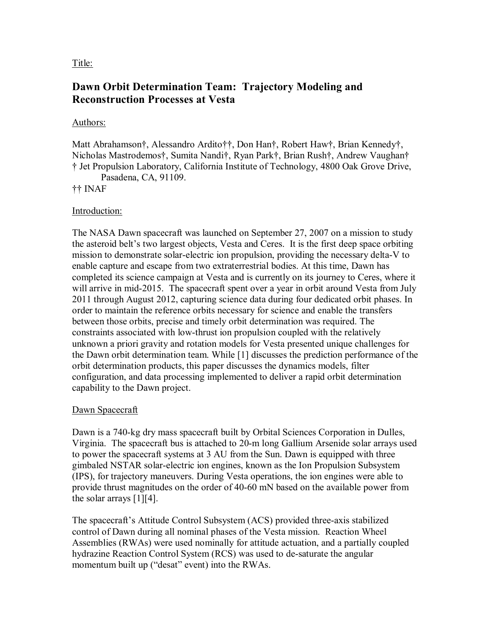Title:

# **Dawn Orbit Determination Team: Trajectory Modeling and Reconstruction Processes at Vesta**

#### Authors:

Matt Abrahamson†, Alessandro Ardito††, Don Han†, Robert Haw†, Brian Kennedy†, Nicholas Mastrodemos†, Sumita Nandi†, Ryan Park†, Brian Rush†, Andrew Vaughan† † Jet Propulsion Laboratory, California Institute of Technology, 4800 Oak Grove Drive,

Pasadena, CA, 91109.

### †† INAF

### Introduction:

The NASA Dawn spacecraft was launched on September 27, 2007 on a mission to study the asteroid belt's two largest objects, Vesta and Ceres. It is the first deep space orbiting mission to demonstrate solar-electric ion propulsion, providing the necessary delta-V to enable capture and escape from two extraterrestrial bodies. At this time, Dawn has completed its science campaign at Vesta and is currently on its journey to Ceres, where it will arrive in mid-2015. The spacecraft spent over a year in orbit around Vesta from July 2011 through August 2012, capturing science data during four dedicated orbit phases. In order to maintain the reference orbits necessary for science and enable the transfers between those orbits, precise and timely orbit determination was required. The constraints associated with low-thrust ion propulsion coupled with the relatively unknown a priori gravity and rotation models for Vesta presented unique challenges for the Dawn orbit determination team. While [1] discusses the prediction performance of the orbit determination products, this paper discusses the dynamics models, filter configuration, and data processing implemented to deliver a rapid orbit determination capability to the Dawn project.

# Dawn Spacecraft

Dawn is a 740-kg dry mass spacecraft built by Orbital Sciences Corporation in Dulles, Virginia. The spacecraft bus is attached to 20-m long Gallium Arsenide solar arrays used to power the spacecraft systems at 3 AU from the Sun. Dawn is equipped with three gimbaled NSTAR solar-electric ion engines, known as the Ion Propulsion Subsystem (IPS), for trajectory maneuvers. During Vesta operations, the ion engines were able to provide thrust magnitudes on the order of 40-60 mN based on the available power from the solar arrays  $[1][4]$ .

The spacecraft's Attitude Control Subsystem (ACS) provided three-axis stabilized control of Dawn during all nominal phases of the Vesta mission. Reaction Wheel Assemblies (RWAs) were used nominally for attitude actuation, and a partially coupled hydrazine Reaction Control System (RCS) was used to de-saturate the angular momentum built up ("desat" event) into the RWAs.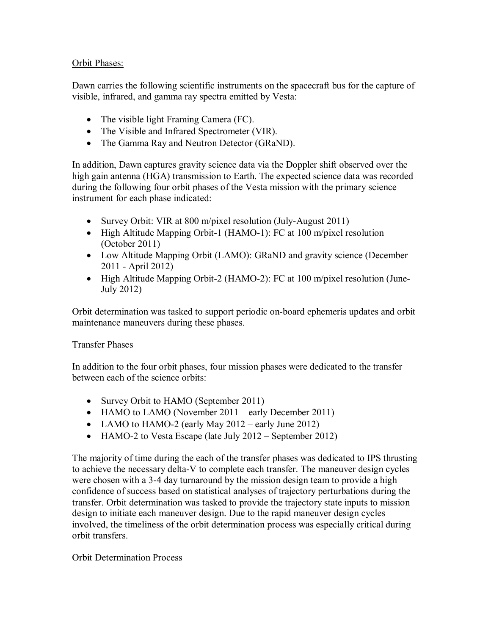# Orbit Phases:

Dawn carries the following scientific instruments on the spacecraft bus for the capture of visible, infrared, and gamma ray spectra emitted by Vesta:

- The visible light Framing Camera (FC).
- The Visible and Infrared Spectrometer (VIR).
- The Gamma Ray and Neutron Detector (GRaND).

In addition, Dawn captures gravity science data via the Doppler shift observed over the high gain antenna (HGA) transmission to Earth. The expected science data was recorded during the following four orbit phases of the Vesta mission with the primary science instrument for each phase indicated:

- Survey Orbit: VIR at 800 m/pixel resolution (July-August 2011)
- High Altitude Mapping Orbit-1 (HAMO-1): FC at 100 m/pixel resolution (October 2011)
- Low Altitude Mapping Orbit (LAMO): GRaND and gravity science (December 2011 - April 2012)
- High Altitude Mapping Orbit-2 (HAMO-2): FC at 100 m/pixel resolution (June-July 2012)

Orbit determination was tasked to support periodic on-board ephemeris updates and orbit maintenance maneuvers during these phases.

# Transfer Phases

In addition to the four orbit phases, four mission phases were dedicated to the transfer between each of the science orbits:

- Survey Orbit to HAMO (September 2011)
- HAMO to LAMO (November 2011 early December 2011)
- LAMO to HAMO-2 (early May 2012 early June 2012)
- HAMO-2 to Vesta Escape (late July 2012 September 2012)

The majority of time during the each of the transfer phases was dedicated to IPS thrusting to achieve the necessary delta-V to complete each transfer. The maneuver design cycles were chosen with a 3-4 day turnaround by the mission design team to provide a high confidence of success based on statistical analyses of trajectory perturbations during the transfer. Orbit determination was tasked to provide the trajectory state inputs to mission design to initiate each maneuver design. Due to the rapid maneuver design cycles involved, the timeliness of the orbit determination process was especially critical during orbit transfers.

# Orbit Determination Process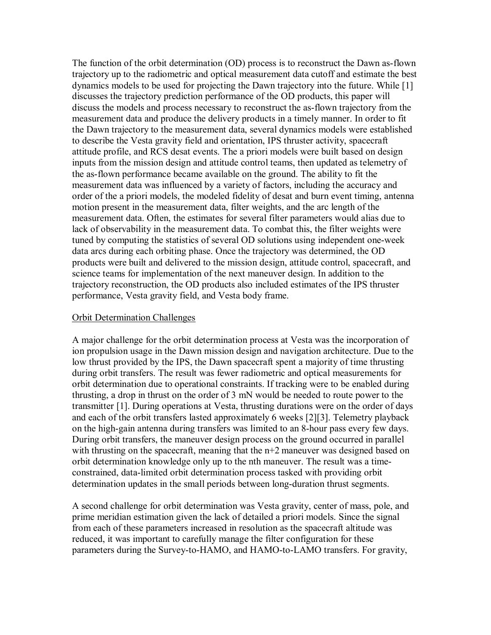The function of the orbit determination (OD) process is to reconstruct the Dawn as-flown trajectory up to the radiometric and optical measurement data cutoff and estimate the best dynamics models to be used for projecting the Dawn trajectory into the future. While [1] discusses the trajectory prediction performance of the OD products, this paper will discuss the models and process necessary to reconstruct the as-flown trajectory from the measurement data and produce the delivery products in a timely manner. In order to fit the Dawn trajectory to the measurement data, several dynamics models were established to describe the Vesta gravity field and orientation, IPS thruster activity, spacecraft attitude profile, and RCS desat events. The a priori models were built based on design inputs from the mission design and attitude control teams, then updated as telemetry of the as-flown performance became available on the ground. The ability to fit the measurement data was influenced by a variety of factors, including the accuracy and order of the a priori models, the modeled fidelity of desat and burn event timing, antenna motion present in the measurement data, filter weights, and the arc length of the measurement data. Often, the estimates for several filter parameters would alias due to lack of observability in the measurement data. To combat this, the filter weights were tuned by computing the statistics of several OD solutions using independent one-week data arcs during each orbiting phase. Once the trajectory was determined, the OD products were built and delivered to the mission design, attitude control, spacecraft, and science teams for implementation of the next maneuver design. In addition to the trajectory reconstruction, the OD products also included estimates of the IPS thruster performance, Vesta gravity field, and Vesta body frame.

#### Orbit Determination Challenges

A major challenge for the orbit determination process at Vesta was the incorporation of ion propulsion usage in the Dawn mission design and navigation architecture. Due to the low thrust provided by the IPS, the Dawn spacecraft spent a majority of time thrusting during orbit transfers. The result was fewer radiometric and optical measurements for orbit determination due to operational constraints. If tracking were to be enabled during thrusting, a drop in thrust on the order of 3 mN would be needed to route power to the transmitter [1]. During operations at Vesta, thrusting durations were on the order of days and each of the orbit transfers lasted approximately 6 weeks [2][3]. Telemetry playback on the high-gain antenna during transfers was limited to an 8-hour pass every few days. During orbit transfers, the maneuver design process on the ground occurred in parallel with thrusting on the spacecraft, meaning that the  $n+2$  maneuver was designed based on orbit determination knowledge only up to the nth maneuver. The result was a timeconstrained, data-limited orbit determination process tasked with providing orbit determination updates in the small periods between long-duration thrust segments.

A second challenge for orbit determination was Vesta gravity, center of mass, pole, and prime meridian estimation given the lack of detailed a priori models. Since the signal from each of these parameters increased in resolution as the spacecraft altitude was reduced, it was important to carefully manage the filter configuration for these parameters during the Survey-to-HAMO, and HAMO-to-LAMO transfers. For gravity,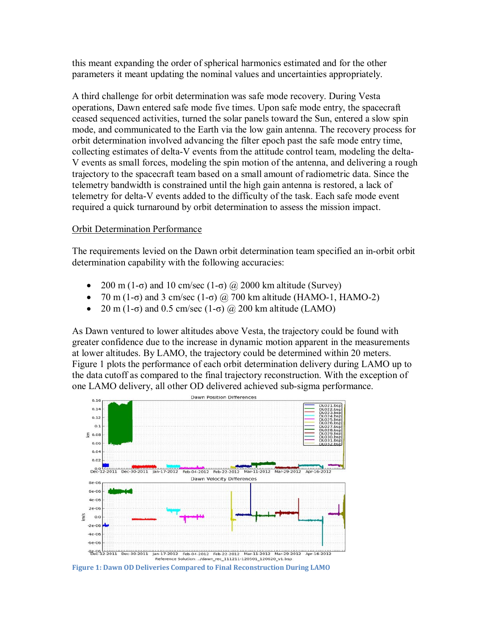this meant expanding the order of spherical harmonics estimated and for the other parameters it meant updating the nominal values and uncertainties appropriately.

A third challenge for orbit determination was safe mode recovery. During Vesta operations, Dawn entered safe mode five times. Upon safe mode entry, the spacecraft ceased sequenced activities, turned the solar panels toward the Sun, entered a slow spin mode, and communicated to the Earth via the low gain antenna. The recovery process for orbit determination involved advancing the filter epoch past the safe mode entry time, collecting estimates of delta-V events from the attitude control team, modeling the delta-V events as small forces, modeling the spin motion of the antenna, and delivering a rough trajectory to the spacecraft team based on a small amount of radiometric data. Since the telemetry bandwidth is constrained until the high gain antenna is restored, a lack of telemetry for delta-V events added to the difficulty of the task. Each safe mode event required a quick turnaround by orbit determination to assess the mission impact.

### Orbit Determination Performance

The requirements levied on the Dawn orbit determination team specified an in-orbit orbit determination capability with the following accuracies:

- 200 m (1-σ) and 10 cm/sec (1-σ)  $\omega$  2000 km altitude (Survey)
- 70 m (1- $\sigma$ ) and 3 cm/sec (1- $\sigma$ ) @ 700 km altitude (HAMO-1, HAMO-2)
- 20 m (1- $\sigma$ ) and 0.5 cm/sec (1- $\sigma$ ) @ 200 km altitude (LAMO)

As Dawn ventured to lower altitudes above Vesta, the trajectory could be found with greater confidence due to the increase in dynamic motion apparent in the measurements at lower altitudes. By LAMO, the trajectory could be determined within 20 meters. Figure 1 plots the performance of each orbit determination delivery during LAMO up to the data cutoff as compared to the final trajectory reconstruction. With the exception of one LAMO delivery, all other OD delivered achieved sub-sigma performance.



**Figure 1: Dawn OD Deliveries Compared to Final Reconstruction During LAMO**